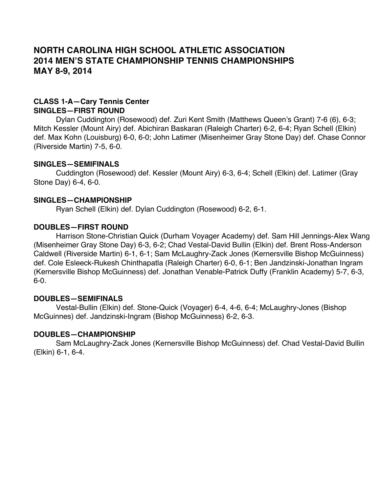# **NORTH CAROLINA HIGH SCHOOL ATHLETIC ASSOCIATION 2014 MEN'S STATE CHAMPIONSHIP TENNIS CHAMPIONSHIPS MAY 8-9, 2014**

# **CLASS 1-A—Cary Tennis Center SINGLES—FIRST ROUND**

Dylan Cuddington (Rosewood) def. Zuri Kent Smith (Matthews Queen's Grant) 7-6 (6), 6-3; Mitch Kessler (Mount Airy) def. Abichiran Baskaran (Raleigh Charter) 6-2, 6-4; Ryan Schell (Elkin) def. Max Kohn (Louisburg) 6-0, 6-0; John Latimer (Misenheimer Gray Stone Day) def. Chase Connor (Riverside Martin) 7-5, 6-0.

### **SINGLES—SEMIFINALS**

Cuddington (Rosewood) def. Kessler (Mount Airy) 6-3, 6-4; Schell (Elkin) def. Latimer (Gray Stone Day) 6-4, 6-0.

### **SINGLES—CHAMPIONSHIP**

Ryan Schell (Elkin) def. Dylan Cuddington (Rosewood) 6-2, 6-1.

### **DOUBLES—FIRST ROUND**

Harrison Stone-Christian Quick (Durham Voyager Academy) def. Sam Hill Jennings-Alex Wang (Misenheimer Gray Stone Day) 6-3, 6-2; Chad Vestal-David Bullin (Elkin) def. Brent Ross-Anderson Caldwell (Riverside Martin) 6-1, 6-1; Sam McLaughry-Zack Jones (Kernersville Bishop McGuinness) def. Cole Esleeck-Rukesh Chinthapatla (Raleigh Charter) 6-0, 6-1; Ben Jandzinski-Jonathan Ingram (Kernersville Bishop McGuinness) def. Jonathan Venable-Patrick Duffy (Franklin Academy) 5-7, 6-3, 6-0.

#### **DOUBLES—SEMIFINALS**

Vestal-Bullin (Elkin) def. Stone-Quick (Voyager) 6-4, 4-6, 6-4; McLaughry-Jones (Bishop McGuinnes) def. Jandzinski-Ingram (Bishop McGuinness) 6-2, 6-3.

#### **DOUBLES—CHAMPIONSHIP**

Sam McLaughry-Zack Jones (Kernersville Bishop McGuinness) def. Chad Vestal-David Bullin (Elkin) 6-1, 6-4.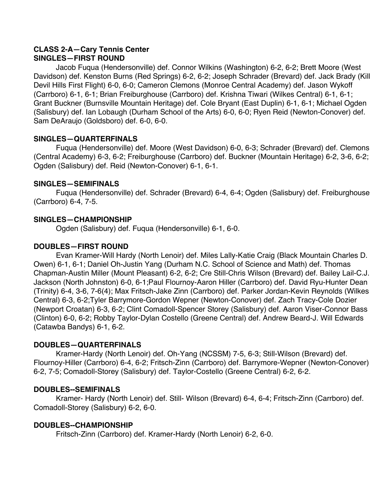# **CLASS 2-A—Cary Tennis Center SINGLES—FIRST ROUND**

Jacob Fuqua (Hendersonville) def. Connor Wilkins (Washington) 6-2, 6-2; Brett Moore (West Davidson) def. Kenston Burns (Red Springs) 6-2, 6-2; Joseph Schrader (Brevard) def. Jack Brady (Kill Devil Hills First Flight) 6-0, 6-0; Cameron Clemons (Monroe Central Academy) def. Jason Wykoff (Carrboro) 6-1, 6-1; Brian Freiburghouse (Carrboro) def. Krishna Tiwari (Wilkes Central) 6-1, 6-1; Grant Buckner (Burnsville Mountain Heritage) def. Cole Bryant (East Duplin) 6-1, 6-1; Michael Ogden (Salisbury) def. Ian Lobaugh (Durham School of the Arts) 6-0, 6-0; Ryen Reid (Newton-Conover) def. Sam DeAraujo (Goldsboro) def. 6-0, 6-0.

# **SINGLES—QUARTERFINALS**

Fuqua (Hendersonville) def. Moore (West Davidson) 6-0, 6-3; Schrader (Brevard) def. Clemons (Central Academy) 6-3, 6-2; Freiburghouse (Carrboro) def. Buckner (Mountain Heritage) 6-2, 3-6, 6-2; Ogden (Salisbury) def. Reid (Newton-Conover) 6-1, 6-1.

### **SINGLES—SEMIFINALS**

Fuqua (Hendersonville) def. Schrader (Brevard) 6-4, 6-4; Ogden (Salisbury) def. Freiburghouse (Carrboro) 6-4, 7-5.

### **SINGLES—CHAMPIONSHIP**

Ogden (Salisbury) def. Fuqua (Hendersonville) 6-1, 6-0.

# **DOUBLES—FIRST ROUND**

Evan Kramer-Will Hardy (North Lenoir) def. Miles Lally-Katie Craig (Black Mountain Charles D. Owen) 6-1, 6-1; Daniel Oh-Justin Yang (Durham N.C. School of Science and Math) def. Thomas Chapman-Austin Miller (Mount Pleasant) 6-2, 6-2; Cre Still-Chris Wilson (Brevard) def. Bailey Lail-C.J. Jackson (North Johnston) 6-0, 6-1;Paul Flournoy-Aaron Hiller (Carrboro) def. David Ryu-Hunter Dean (Trinity) 6-4, 3-6, 7-6(4); Max Fritsch-Jake Zinn (Carrboro) def. Parker Jordan-Kevin Reynolds (Wilkes Central) 6-3, 6-2;Tyler Barrymore-Gordon Wepner (Newton-Conover) def. Zach Tracy-Cole Dozier (Newport Croatan) 6-3, 6-2; Clint Comadoll-Spencer Storey (Salisbury) def. Aaron Viser-Connor Bass (Clinton) 6-0, 6-2; Robby Taylor-Dylan Costello (Greene Central) def. Andrew Beard-J. Will Edwards (Catawba Bandys) 6-1, 6-2.

# **DOUBLES—QUARTERFINALS**

Kramer-Hardy (North Lenoir) def. Oh-Yang (NCSSM) 7-5, 6-3; Still-Wilson (Brevard) def. Flournoy-Hiller (Carrboro) 6-4, 6-2; Fritsch-Zinn (Carrboro) def. Barrymore-Wepner (Newton-Conover) 6-2, 7-5; Comadoll-Storey (Salisbury) def. Taylor-Costello (Greene Central) 6-2, 6-2.

#### **DOUBLES--SEMIFINALS**

Kramer- Hardy (North Lenoir) def. Still- Wilson (Brevard) 6-4, 6-4; Fritsch-Zinn (Carrboro) def. Comadoll-Storey (Salisbury) 6-2, 6-0.

#### **DOUBLES--CHAMPIONSHIP**

Fritsch-Zinn (Carrboro) def. Kramer-Hardy (North Lenoir) 6-2, 6-0.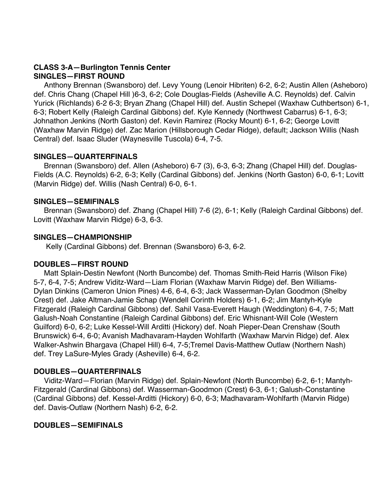### **CLASS 3-A—Burlington Tennis Center SINGLES—FIRST ROUND**

 Anthony Brennan (Swansboro) def. Levy Young (Lenoir Hibriten) 6-2, 6-2; Austin Allen (Asheboro) def. Chris Chang (Chapel Hill )6-3, 6-2; Cole Douglas-Fields (Asheville A.C. Reynolds) def. Calvin Yurick (Richlands) 6-2 6-3; Bryan Zhang (Chapel Hill) def. Austin Schepel (Waxhaw Cuthbertson) 6-1, 6-3; Robert Kelly (Raleigh Cardinal Gibbons) def. Kyle Kennedy (Northwest Cabarrus) 6-1, 6-3; Johnathon Jenkins (North Gaston) def. Kevin Ramirez (Rocky Mount) 6-1, 6-2; George Lovitt (Waxhaw Marvin Ridge) def. Zac Marion (Hillsborough Cedar Ridge), default; Jackson Willis (Nash Central) def. Isaac Sluder (Waynesville Tuscola) 6-4, 7-5.

#### **SINGLES—QUARTERFINALS**

 Brennan (Swansboro) def. Allen (Asheboro) 6-7 (3), 6-3, 6-3; Zhang (Chapel Hill) def. Douglas-Fields (A.C. Reynolds) 6-2, 6-3; Kelly (Cardinal Gibbons) def. Jenkins (North Gaston) 6-0, 6-1; Lovitt (Marvin Ridge) def. Willis (Nash Central) 6-0, 6-1.

### **SINGLES—SEMIFINALS**

 Brennan (Swansboro) def. Zhang (Chapel Hill) 7-6 (2), 6-1; Kelly (Raleigh Cardinal Gibbons) def. Lovitt (Waxhaw Marvin Ridge) 6-3, 6-3.

### **SINGLES—CHAMPIONSHIP**

Kelly (Cardinal Gibbons) def. Brennan (Swansboro) 6-3, 6-2.

# **DOUBLES—FIRST ROUND**

 Matt Splain-Destin Newfont (North Buncombe) def. Thomas Smith-Reid Harris (Wilson Fike) 5-7, 6-4, 7-5; Andrew Viditz-Ward—Liam Florian (Waxhaw Marvin Ridge) def. Ben Williams-Dylan Dinkins (Cameron Union Pines) 4-6, 6-4, 6-3; Jack Wasserman-Dylan Goodmon (Shelby Crest) def. Jake Altman-Jamie Schap (Wendell Corinth Holders) 6-1, 6-2; Jim Mantyh-Kyle Fitzgerald (Raleigh Cardinal Gibbons) def. Sahil Vasa-Everett Haugh (Weddington) 6-4, 7-5; Matt Galush-Noah Constantine (Raleigh Cardinal Gibbons) def. Eric Whisnant-Will Cole (Western Guilford) 6-0, 6-2; Luke Kessel-Will Arditti (Hickory) def. Noah Pieper-Dean Crenshaw (South Brunswick) 6-4, 6-0; Avanish Madhavaram-Hayden Wohlfarth (Waxhaw Marvin Ridge) def. Alex Walker-Ashwin Bhargava (Chapel Hill) 6-4, 7-5;Tremel Davis-Matthew Outlaw (Northern Nash) def. Trey LaSure-Myles Grady (Asheville) 6-4, 6-2.

# **DOUBLES—QUARTERFINALS**

 Viditz-Ward—Florian (Marvin Ridge) def. Splain-Newfont (North Buncombe) 6-2, 6-1; Mantyh-Fitzgerald (Cardinal Gibbons) def. Wasserman-Goodmon (Crest) 6-3, 6-1; Galush-Constantine (Cardinal Gibbons) def. Kessel-Arditti (Hickory) 6-0, 6-3; Madhavaram-Wohlfarth (Marvin Ridge) def. Davis-Outlaw (Northern Nash) 6-2, 6-2.

#### **DOUBLES—SEMIFINALS**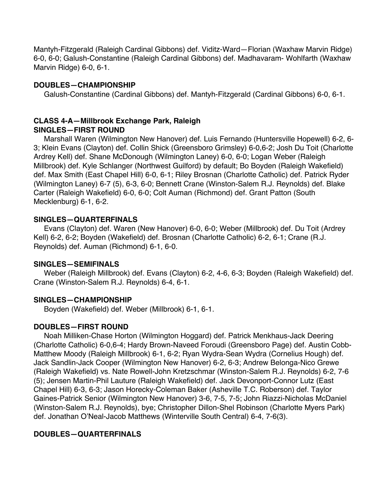Mantyh-Fitzgerald (Raleigh Cardinal Gibbons) def. Viditz-Ward—Florian (Waxhaw Marvin Ridge) 6-0, 6-0; Galush-Constantine (Raleigh Cardinal Gibbons) def. Madhavaram- Wohlfarth (Waxhaw Marvin Ridge) 6-0, 6-1.

# **DOUBLES—CHAMPIONSHIP**

Galush-Constantine (Cardinal Gibbons) def. Mantyh-Fitzgerald (Cardinal Gibbons) 6-0, 6-1.

#### **CLASS 4-A—Millbrook Exchange Park, Raleigh SINGLES—FIRST ROUND**

 Marshall Waren (Wilmington New Hanover) def. Luis Fernando (Huntersville Hopewell) 6-2, 6- 3; Klein Evans (Clayton) def. Collin Shick (Greensboro Grimsley) 6-0,6-2; Josh Du Toit (Charlotte Ardrey Kell) def. Shane McDonough (Wilmington Laney) 6-0, 6-0; Logan Weber (Raleigh Millbrook) def. Kyle Schlanger (Northwest Guilford) by default; Bo Boyden (Raleigh Wakefield) def. Max Smith (East Chapel Hill) 6-0, 6-1; Riley Brosnan (Charlotte Catholic) def. Patrick Ryder (Wilmington Laney) 6-7 (5), 6-3, 6-0; Bennett Crane (Winston-Salem R.J. Reynolds) def. Blake Carter (Raleigh Wakefield) 6-0, 6-0; Colt Auman (Richmond) def. Grant Patton (South Mecklenburg) 6-1, 6-2.

### **SINGLES—QUARTERFINALS**

 Evans (Clayton) def. Waren (New Hanover) 6-0, 6-0; Weber (Millbrook) def. Du Toit (Ardrey Kell) 6-2, 6-2; Boyden (Wakefield) def. Brosnan (Charlotte Catholic) 6-2, 6-1; Crane (R.J. Reynolds) def. Auman (Richmond) 6-1, 6-0.

#### **SINGLES—SEMIFINALS**

 Weber (Raleigh Millbrook) def. Evans (Clayton) 6-2, 4-6, 6-3; Boyden (Raleigh Wakefield) def. Crane (Winston-Salem R.J. Reynolds) 6-4, 6-1.

#### **SINGLES—CHAMPIONSHIP**

Boyden (Wakefield) def. Weber (Millbrook) 6-1, 6-1.

# **DOUBLES—FIRST ROUND**

 Noah Milliken-Chase Horton (Wilmington Hoggard) def. Patrick Menkhaus-Jack Deering (Charlotte Catholic) 6-0,6-4; Hardy Brown-Naveed Foroudi (Greensboro Page) def. Austin Cobb-Matthew Moody (Raleigh Millbrook) 6-1, 6-2; Ryan Wydra-Sean Wydra (Cornelius Hough) def. Jack Sandlin-Jack Cooper (Wilmington New Hanover) 6-2, 6-3; Andrew Belonga-Nico Grewe (Raleigh Wakefield) vs. Nate Rowell-John Kretzschmar (Winston-Salem R.J. Reynolds) 6-2, 7-6 (5); Jensen Martin-Phil Lauture (Raleigh Wakefield) def. Jack Devonport-Connor Lutz (East Chapel Hill) 6-3, 6-3; Jason Horecky-Coleman Baker (Asheville T.C. Roberson) def. Taylor Gaines-Patrick Senior (Wilmington New Hanover) 3-6, 7-5, 7-5; John Riazzi-Nicholas McDaniel (Winston-Salem R.J. Reynolds), bye; Christopher Dillon-Shel Robinson (Charlotte Myers Park) def. Jonathan O'Neal-Jacob Matthews (Winterville South Central) 6-4, 7-6(3).

# **DOUBLES—QUARTERFINALS**